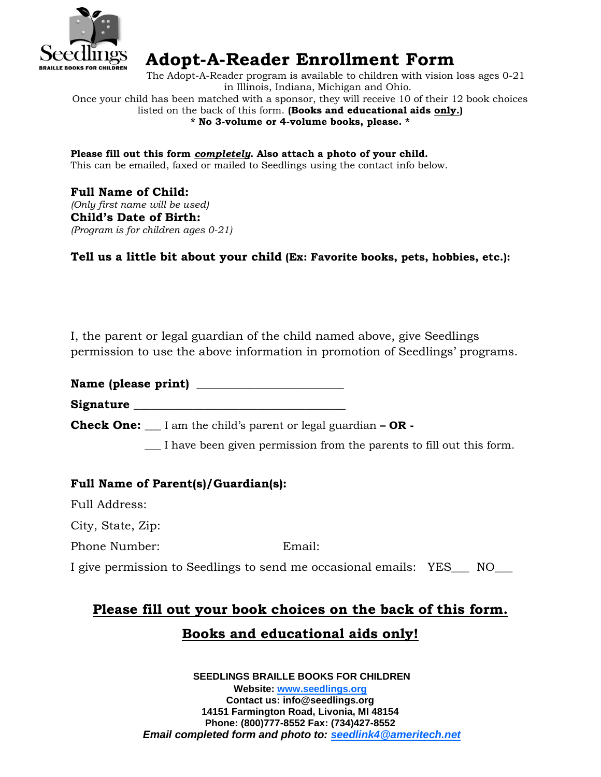

### **Adopt-A-Reader Enrollment Form**

The Adopt-A-Reader program is available to children with vision loss ages 0-21 in Illinois, Indiana, Michigan and Ohio. Once your child has been matched with a sponsor, they will receive 10 of their 12 book choices listed on the back of this form. **(Books and educational aids only.) \* No 3-volume or 4-volume books, please. \***

**Please fill out this form** *completely***. Also attach a photo of your child.** This can be emailed, faxed or mailed to Seedlings using the contact info below.

#### **Full Name of Child:** *(Only first name will be used)*  **Child's Date of Birth:** *(Program is for children ages 0-21)*

**Tell us a little bit about your child (Ex: Favorite books, pets, hobbies, etc.):**

I, the parent or legal guardian of the child named above, give Seedlings permission to use the above information in promotion of Seedlings' programs.

**Name (please print)** \_\_\_\_\_\_\_\_\_\_\_\_\_\_\_\_\_\_\_\_\_\_\_\_\_

**Signature** \_\_\_\_\_\_\_\_\_\_\_\_\_\_\_\_\_\_\_\_\_\_\_\_\_\_\_\_\_\_\_\_\_\_\_\_

**Check One:** \_\_\_ I am the child's parent or legal guardian **– OR -**

I have been given permission from the parents to fill out this form.

### **Full Name of Parent(s)/Guardian(s):**

Full Address:

City, State, Zip:

Phone Number: Email:

I give permission to Seedlings to send me occasional emails: YES NO

## **Please fill out your book choices on the back of this form. Books and educational aids only!**

**SEEDLINGS BRAILLE BOOKS FOR CHILDREN Website: [www.seedlings.org](http://www.seedlings.org/) Contact us: info@seedlings.org 14151 Farmington Road, Livonia, MI 48154 Phone: (800)777-8552 Fax: (734)427-8552** *Email completed form and photo to: [seedlink4@ameritech.net](mailto:seedlink4@ameritech.net)*